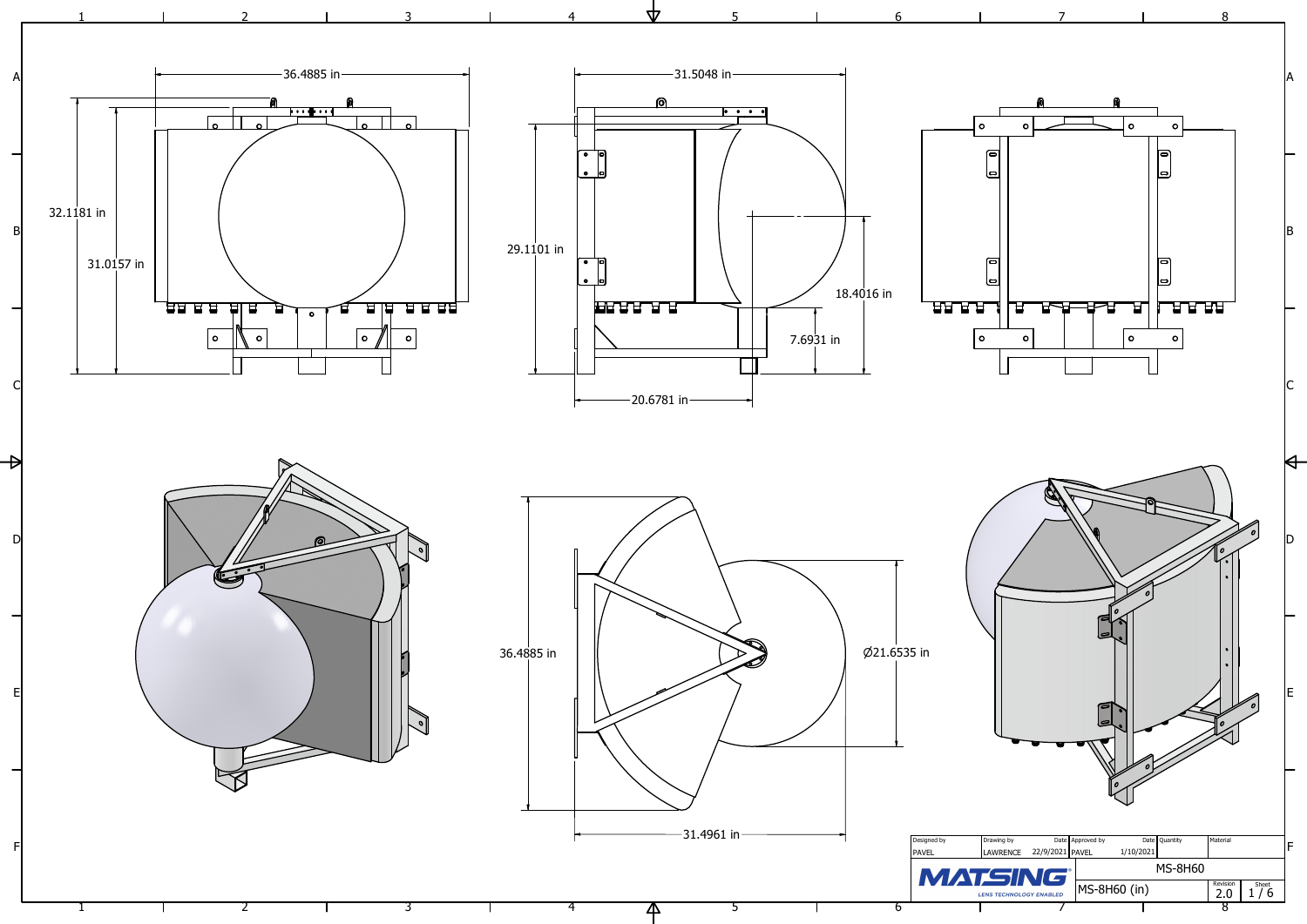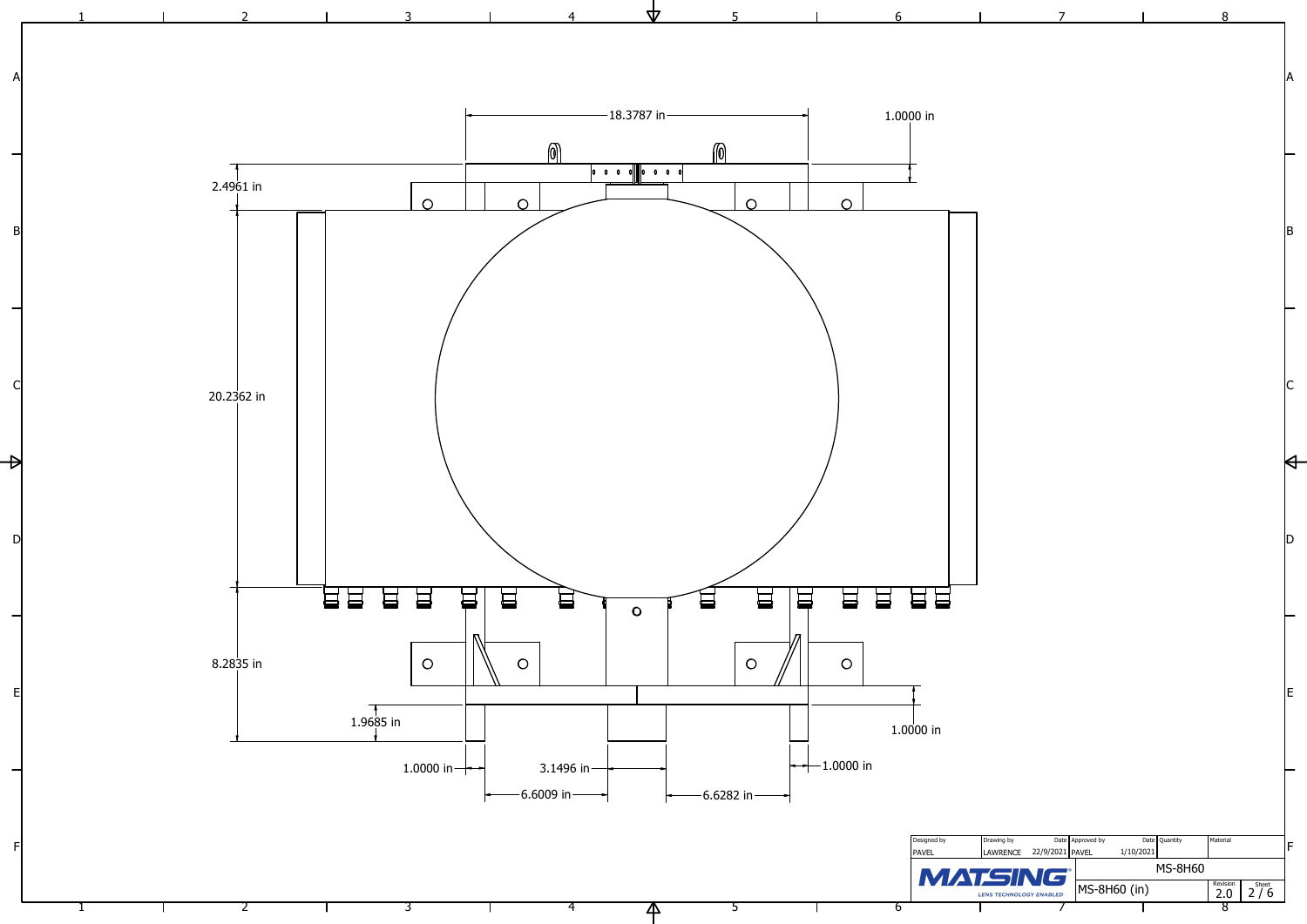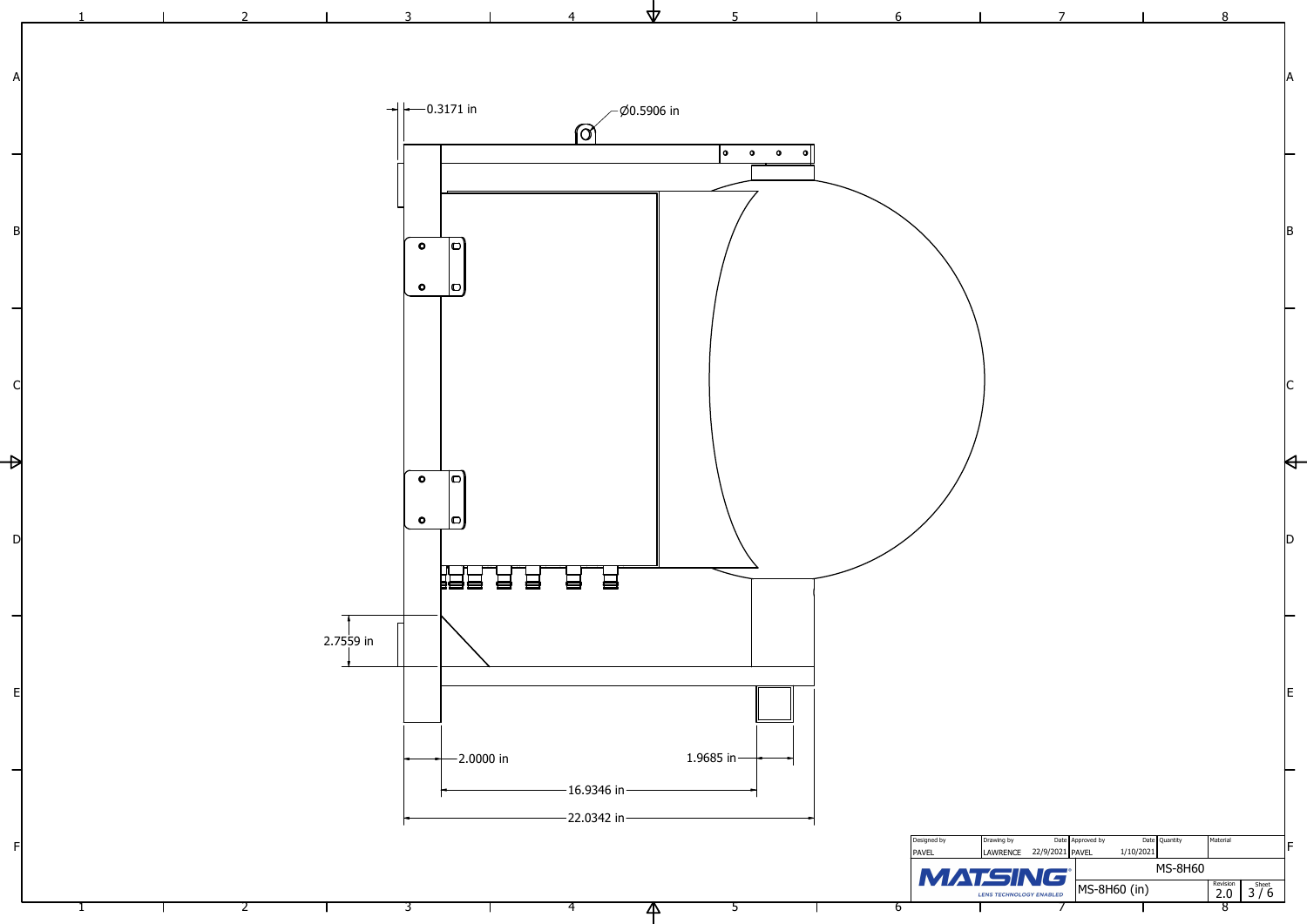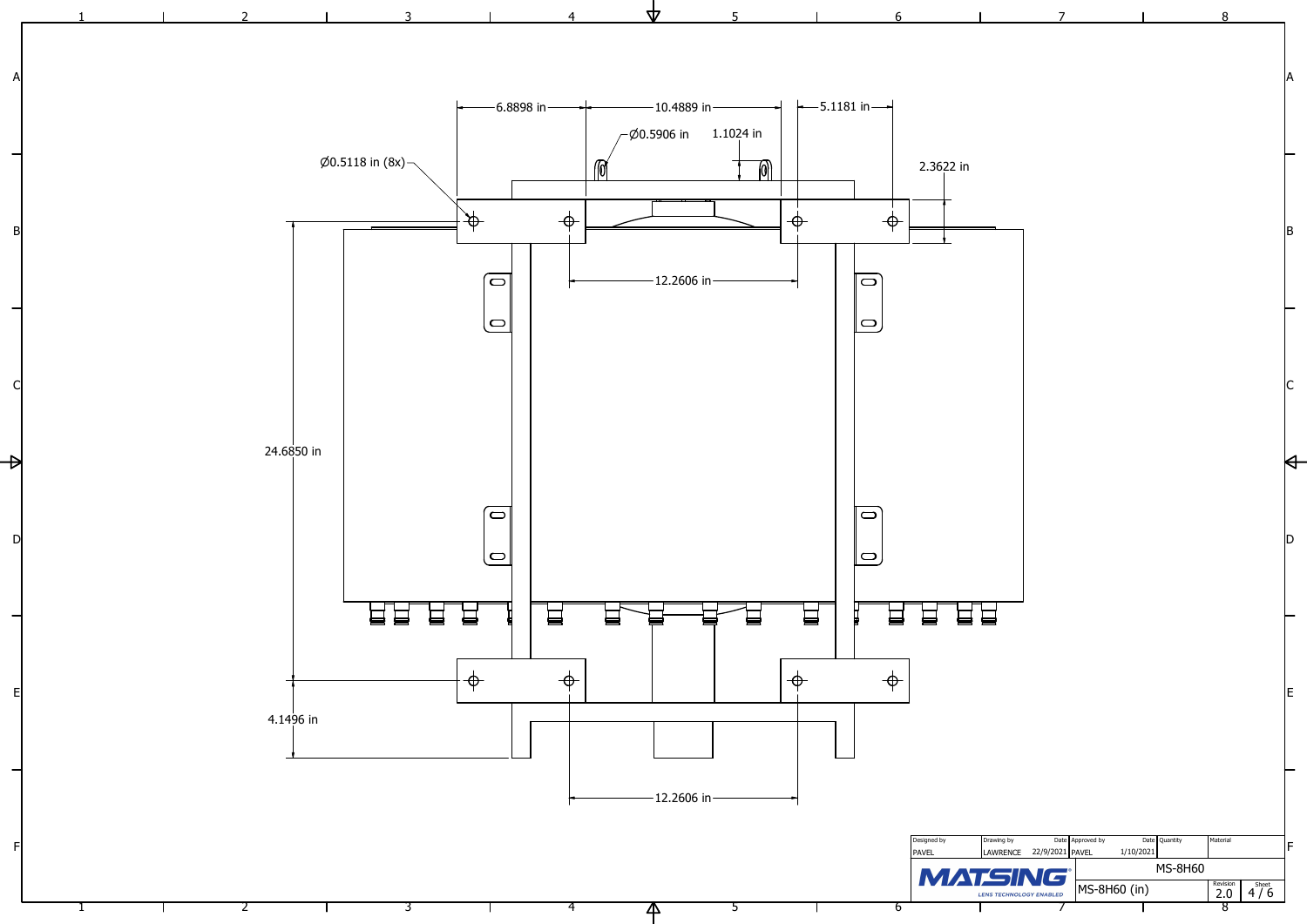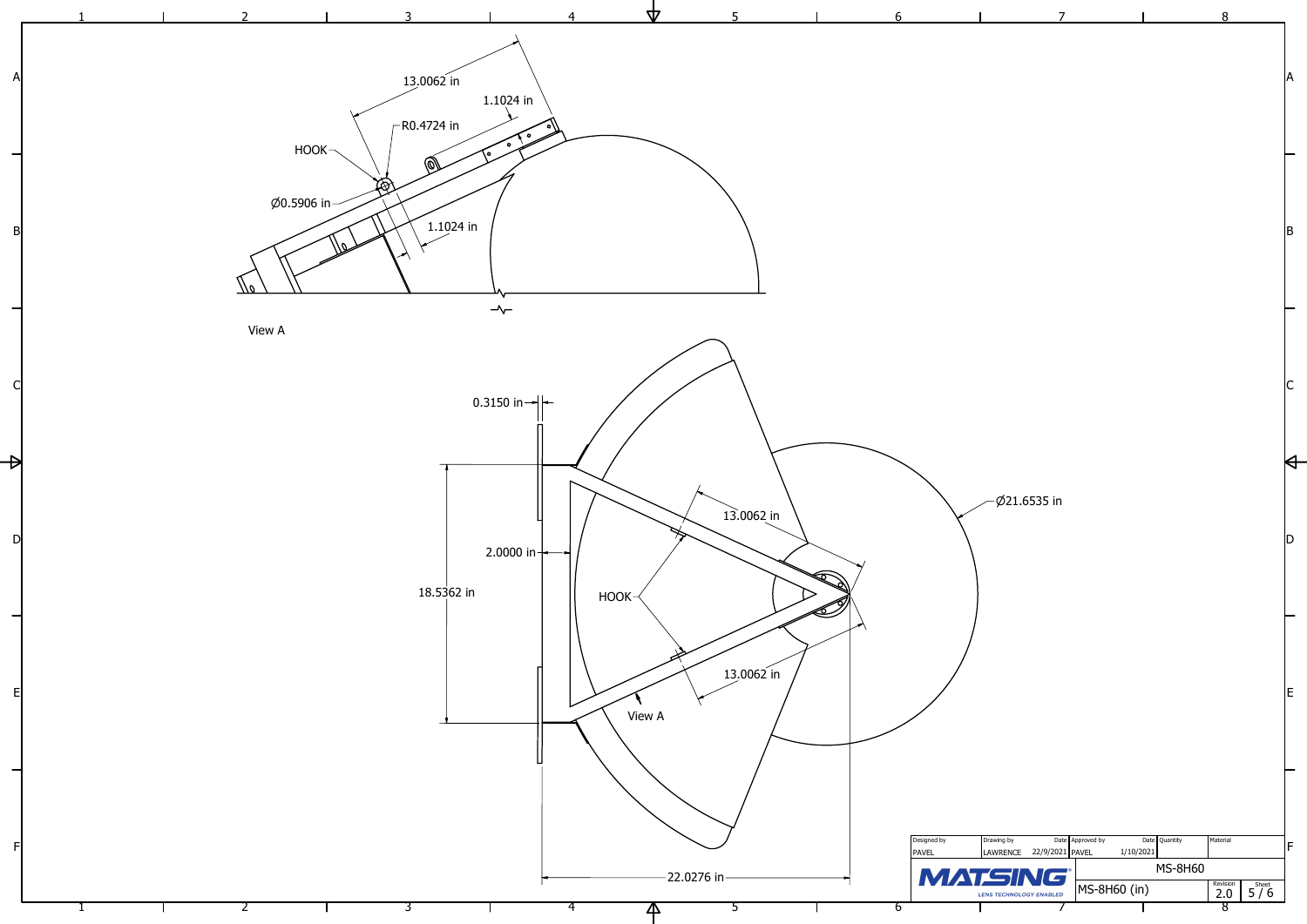